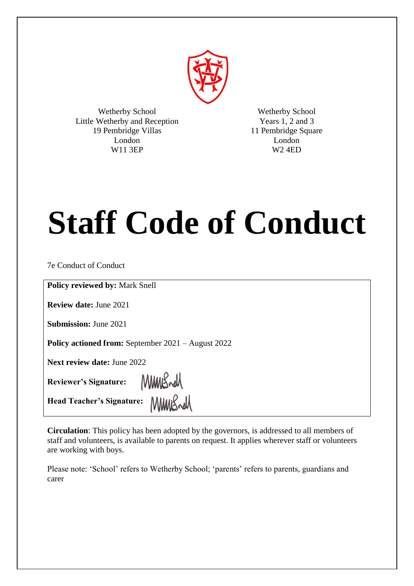

Wetherby School Little Wetherby and Reception 19 Pembridge Villas London W11 3EP

Wetherby School Years 1, 2 and 3 11 Pembridge Square London W2 4ED

# **Staff Code of Conduct**

7e Conduct of Conduct

**Policy reviewed by:** Mark Snell

**Review date:** June 2021

**Submission:** June 2021

**Policy actioned from:** September 2021 – August 2022

MMBrell

**Next review date:** June 2022

**Reviewer's Signature:** 

Head Teacher's Signature: MMMS

**Circulation**: This policy has been adopted by the governors, is addressed to all members of staff and volunteers, is available to parents on request. It applies wherever staff or volunteers are working with boys.

Please note: 'School' refers to Wetherby School; 'parents' refers to parents, guardians and carer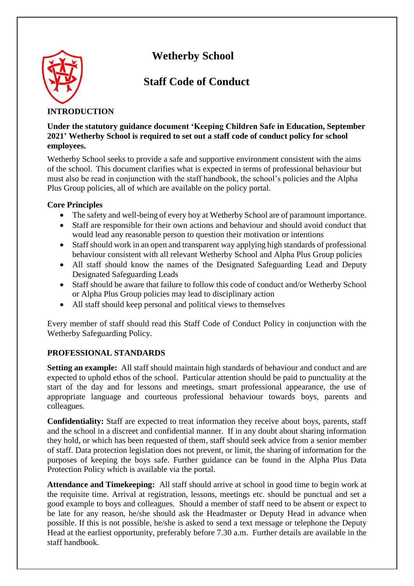



# **Staff Code of Conduct**

# **INTRODUCTION**

**Under the statutory guidance document 'Keeping Children Safe in Education, September 2021' Wetherby School is required to set out a staff code of conduct policy for school employees.**

Wetherby School seeks to provide a safe and supportive environment consistent with the aims of the school. This document clarifies what is expected in terms of professional behaviour but must also be read in conjunction with the staff handbook, the school's policies and the Alpha Plus Group policies, all of which are available on the policy portal.

## **Core Principles**

- The safety and well-being of every boy at Wetherby School are of paramount importance.
- Staff are responsible for their own actions and behaviour and should avoid conduct that would lead any reasonable person to question their motivation or intentions
- Staff should work in an open and transparent way applying high standards of professional behaviour consistent with all relevant Wetherby School and Alpha Plus Group policies
- All staff should know the names of the Designated Safeguarding Lead and Deputy Designated Safeguarding Leads
- Staff should be aware that failure to follow this code of conduct and/or Wetherby School or Alpha Plus Group policies may lead to disciplinary action
- All staff should keep personal and political views to themselves

Every member of staff should read this Staff Code of Conduct Policy in conjunction with the Wetherby Safeguarding Policy.

# **PROFESSIONAL STANDARDS**

**Setting an example:** All staff should maintain high standards of behaviour and conduct and are expected to uphold ethos of the school. Particular attention should be paid to punctuality at the start of the day and for lessons and meetings, smart professional appearance, the use of appropriate language and courteous professional behaviour towards boys, parents and colleagues.

**Confidentiality:** Staff are expected to treat information they receive about boys, parents, staff and the school in a discreet and confidential manner. If in any doubt about sharing information they hold, or which has been requested of them, staff should seek advice from a senior member of staff. Data protection legislation does not prevent, or limit, the sharing of information for the purposes of keeping the boys safe. Further guidance can be found in the Alpha Plus Data Protection Policy which is available via the portal.

**Attendance and Timekeeping:** All staff should arrive at school in good time to begin work at the requisite time. Arrival at registration, lessons, meetings etc. should be punctual and set a good example to boys and colleagues. Should a member of staff need to be absent or expect to be late for any reason, he/she should ask the Headmaster or Deputy Head in advance when possible. If this is not possible, he/she is asked to send a text message or telephone the Deputy Head at the earliest opportunity, preferably before 7.30 a.m. Further details are available in the staff handbook.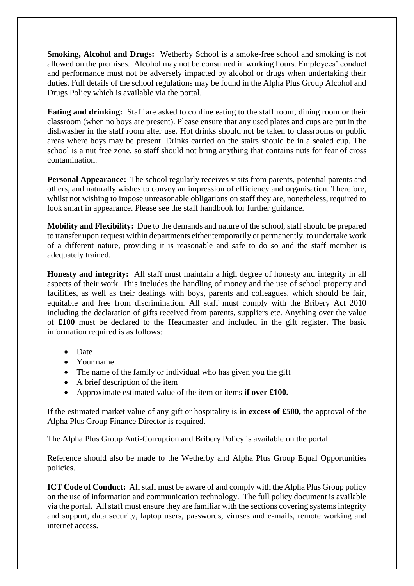**Smoking, Alcohol and Drugs:** Wetherby School is a smoke-free school and smoking is not allowed on the premises. Alcohol may not be consumed in working hours. Employees' conduct and performance must not be adversely impacted by alcohol or drugs when undertaking their duties. Full details of the school regulations may be found in the Alpha Plus Group Alcohol and Drugs Policy which is available via the portal.

**Eating and drinking:** Staff are asked to confine eating to the staff room, dining room or their classroom (when no boys are present). Please ensure that any used plates and cups are put in the dishwasher in the staff room after use. Hot drinks should not be taken to classrooms or public areas where boys may be present. Drinks carried on the stairs should be in a sealed cup. The school is a nut free zone, so staff should not bring anything that contains nuts for fear of cross contamination.

**Personal Appearance:** The school regularly receives visits from parents, potential parents and others, and naturally wishes to convey an impression of efficiency and organisation. Therefore, whilst not wishing to impose unreasonable obligations on staff they are, nonetheless, required to look smart in appearance. Please see the staff handbook for further guidance.

**Mobility and Flexibility:** Due to the demands and nature of the school, staff should be prepared to transfer upon request within departments either temporarily or permanently, to undertake work of a different nature, providing it is reasonable and safe to do so and the staff member is adequately trained.

**Honesty and integrity:** All staff must maintain a high degree of honesty and integrity in all aspects of their work. This includes the handling of money and the use of school property and facilities, as well as their dealings with boys, parents and colleagues, which should be fair, equitable and free from discrimination. All staff must comply with the Bribery Act 2010 including the declaration of gifts received from parents, suppliers etc. Anything over the value of **£100** must be declared to the Headmaster and included in the gift register. The basic information required is as follows:

- Date
- Your name
- The name of the family or individual who has given you the gift
- A brief description of the item
- Approximate estimated value of the item or items **if over £100.**

If the estimated market value of any gift or hospitality is **in excess of £500,** the approval of the Alpha Plus Group Finance Director is required.

The Alpha Plus Group Anti-Corruption and Bribery Policy is available on the portal.

Reference should also be made to the Wetherby and Alpha Plus Group Equal Opportunities policies.

**ICT Code of Conduct:** All staff must be aware of and comply with the Alpha Plus Group policy on the use of information and communication technology. The full policy document is available via the portal. All staff must ensure they are familiar with the sections covering systems integrity and support, data security, laptop users, passwords, viruses and e-mails, remote working and internet access.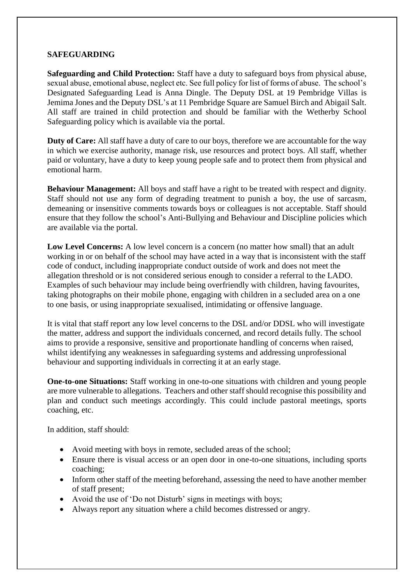#### **SAFEGUARDING**

**Safeguarding and Child Protection:** Staff have a duty to safeguard boys from physical abuse, sexual abuse, emotional abuse, neglect etc. See full policy for list of forms of abuse. The school's Designated Safeguarding Lead is Anna Dingle. The Deputy DSL at 19 Pembridge Villas is Jemima Jones and the Deputy DSL's at 11 Pembridge Square are Samuel Birch and Abigail Salt. All staff are trained in child protection and should be familiar with the Wetherby School Safeguarding policy which is available via the portal.

**Duty of Care:** All staff have a duty of care to our boys, therefore we are accountable for the way in which we exercise authority, manage risk, use resources and protect boys. All staff, whether paid or voluntary, have a duty to keep young people safe and to protect them from physical and emotional harm.

**Behaviour Management:** All boys and staff have a right to be treated with respect and dignity. Staff should not use any form of degrading treatment to punish a boy, the use of sarcasm, demeaning or insensitive comments towards boys or colleagues is not acceptable. Staff should ensure that they follow the school's Anti-Bullying and Behaviour and Discipline policies which are available via the portal.

**Low Level Concerns:** A low level concern is a concern (no matter how small) that an adult working in or on behalf of the school may have acted in a way that is inconsistent with the staff code of conduct, including inappropriate conduct outside of work and does not meet the allegation threshold or is not considered serious enough to consider a referral to the LADO. Examples of such behaviour may include being overfriendly with children, having favourites, taking photographs on their mobile phone, engaging with children in a secluded area on a one to one basis, or using inappropriate sexualised, intimidating or offensive language.

It is vital that staff report any low level concerns to the DSL and/or DDSL who will investigate the matter, address and support the individuals concerned, and record details fully. The school aims to provide a responsive, sensitive and proportionate handling of concerns when raised, whilst identifying any weaknesses in safeguarding systems and addressing unprofessional behaviour and supporting individuals in correcting it at an early stage.

**One-to-one Situations:** Staff working in one-to-one situations with children and young people are more vulnerable to allegations. Teachers and other staff should recognise this possibility and plan and conduct such meetings accordingly. This could include pastoral meetings, sports coaching, etc.

In addition, staff should:

- Avoid meeting with boys in remote, secluded areas of the school;
- Ensure there is visual access or an open door in one-to-one situations, including sports coaching;
- Inform other staff of the meeting beforehand, assessing the need to have another member of staff present;
- Avoid the use of 'Do not Disturb' signs in meetings with boys;
- Always report any situation where a child becomes distressed or angry.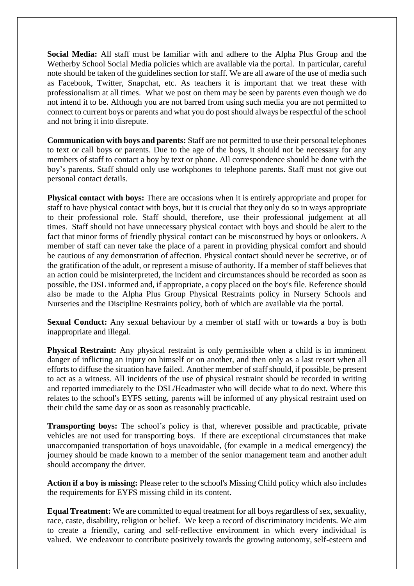**Social Media:** All staff must be familiar with and adhere to the Alpha Plus Group and the Wetherby School Social Media policies which are available via the portal. In particular, careful note should be taken of the guidelines section for staff. We are all aware of the use of media such as Facebook, Twitter, Snapchat, etc. As teachers it is important that we treat these with professionalism at all times. What we post on them may be seen by parents even though we do not intend it to be. Although you are not barred from using such media you are not permitted to connect to current boys or parents and what you do post should always be respectful of the school and not bring it into disrepute.

**Communication with boys and parents:** Staff are not permitted to use their personal telephones to text or call boys or parents. Due to the age of the boys, it should not be necessary for any members of staff to contact a boy by text or phone. All correspondence should be done with the boy's parents. Staff should only use workphones to telephone parents. Staff must not give out personal contact details.

**Physical contact with boys:** There are occasions when it is entirely appropriate and proper for staff to have physical contact with boys, but it is crucial that they only do so in ways appropriate to their professional role. Staff should, therefore, use their professional judgement at all times. Staff should not have unnecessary physical contact with boys and should be alert to the fact that minor forms of friendly physical contact can be misconstrued by boys or onlookers. A member of staff can never take the place of a parent in providing physical comfort and should be cautious of any demonstration of affection. Physical contact should never be secretive, or of the gratification of the adult, or represent a misuse of authority. If a member of staff believes that an action could be misinterpreted, the incident and circumstances should be recorded as soon as possible, the DSL informed and, if appropriate, a copy placed on the boy's file. Reference should also be made to the Alpha Plus Group Physical Restraints policy in Nursery Schools and Nurseries and the Discipline Restraints policy, both of which are available via the portal.

**Sexual Conduct:** Any sexual behaviour by a member of staff with or towards a boy is both inappropriate and illegal.

**Physical Restraint:** Any physical restraint is only permissible when a child is in imminent danger of inflicting an injury on himself or on another, and then only as a last resort when all efforts to diffuse the situation have failed. Another member of staff should, if possible, be present to act as a witness. All incidents of the use of physical restraint should be recorded in writing and reported immediately to the DSL/Headmaster who will decide what to do next. Where this relates to the school's EYFS setting, parents will be informed of any physical restraint used on their child the same day or as soon as reasonably practicable.

**Transporting boys:** The school's policy is that, wherever possible and practicable, private vehicles are not used for transporting boys. If there are exceptional circumstances that make unaccompanied transportation of boys unavoidable, (for example in a medical emergency) the journey should be made known to a member of the senior management team and another adult should accompany the driver.

**Action if a boy is missing:** Please refer to the school's Missing Child policy which also includes the requirements for EYFS missing child in its content.

**Equal Treatment:** We are committed to equal treatment for all boys regardless of sex, sexuality, race, caste, disability, religion or belief. We keep a record of discriminatory incidents. We aim to create a friendly, caring and self-reflective environment in which every individual is valued. We endeavour to contribute positively towards the growing autonomy, self-esteem and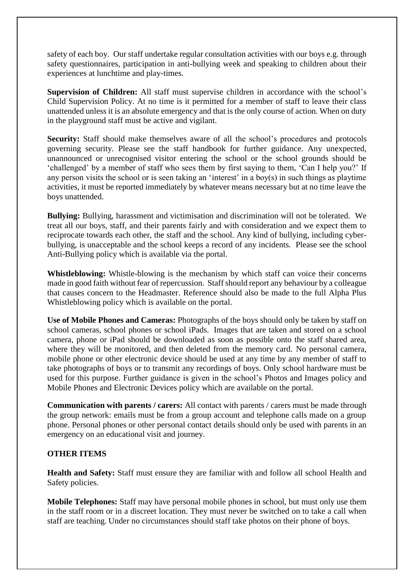safety of each boy. Our staff undertake regular consultation activities with our boys e.g. through safety questionnaires, participation in anti-bullying week and speaking to children about their experiences at lunchtime and play-times.

**Supervision of Children:** All staff must supervise children in accordance with the school's Child Supervision Policy. At no time is it permitted for a member of staff to leave their class unattended unless it is an absolute emergency and that is the only course of action. When on duty in the playground staff must be active and vigilant.

**Security:** Staff should make themselves aware of all the school's procedures and protocols governing security. Please see the staff handbook for further guidance. Any unexpected, unannounced or unrecognised visitor entering the school or the school grounds should be 'challenged' by a member of staff who sees them by first saying to them, 'Can I help you?' If any person visits the school or is seen taking an 'interest' in a boy(s) in such things as playtime activities, it must be reported immediately by whatever means necessary but at no time leave the boys unattended.

**Bullying:** Bullying, harassment and victimisation and discrimination will not be tolerated. We treat all our boys, staff, and their parents fairly and with consideration and we expect them to reciprocate towards each other, the staff and the school. Any kind of bullying, including cyberbullying, is unacceptable and the school keeps a record of any incidents. Please see the school Anti-Bullying policy which is available via the portal.

**Whistleblowing:** Whistle-blowing is the mechanism by which staff can voice their concerns made in good faith without fear of repercussion. Staff should report any behaviour by a colleague that causes concern to the Headmaster. Reference should also be made to the full Alpha Plus Whistleblowing policy which is available on the portal.

**Use of Mobile Phones and Cameras:** Photographs of the boys should only be taken by staff on school cameras, school phones or school iPads. Images that are taken and stored on a school camera, phone or iPad should be downloaded as soon as possible onto the staff shared area, where they will be monitored, and then deleted from the memory card. No personal camera, mobile phone or other electronic device should be used at any time by any member of staff to take photographs of boys or to transmit any recordings of boys. Only school hardware must be used for this purpose. Further guidance is given in the school's Photos and Images policy and Mobile Phones and Electronic Devices policy which are available on the portal.

**Communication with parents / carers:** All contact with parents / carers must be made through the group network: emails must be from a group account and telephone calls made on a group phone. Personal phones or other personal contact details should only be used with parents in an emergency on an educational visit and journey.

## **OTHER ITEMS**

**Health and Safety:** Staff must ensure they are familiar with and follow all school Health and Safety policies.

**Mobile Telephones:** Staff may have personal mobile phones in school, but must only use them in the staff room or in a discreet location. They must never be switched on to take a call when staff are teaching. Under no circumstances should staff take photos on their phone of boys.